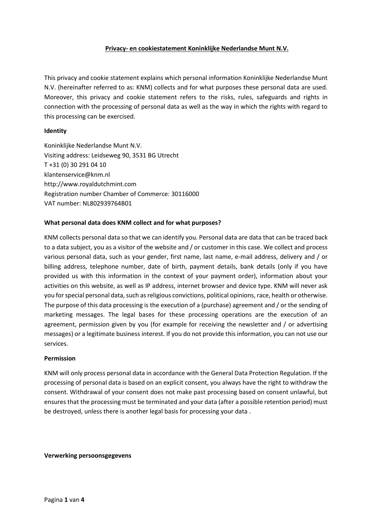## **Privacy- en cookiestatement Koninklijke Nederlandse Munt N.V.**

This privacy and cookie statement explains which personal information Koninklijke Nederlandse Munt N.V. (hereinafter referred to as: KNM) collects and for what purposes these personal data are used. Moreover, this privacy and cookie statement refers to the risks, rules, safeguards and rights in connection with the processing of personal data as well as the way in which the rights with regard to this processing can be exercised.

### **Identity**

Koninklijke Nederlandse Munt N.V. Visiting address: Leidseweg 90, 3531 BG Utrecht T +31 (0) 30 291 04 10 klantenservice@knm.nl http://www.royaldutchmint.com Registration number Chamber of Commerce: 30116000 VAT number: NL802939764B01

## **What personal data does KNM collect and for what purposes?**

KNM collects personal data so that we can identify you. Personal data are data that can be traced back to a data subject, you as a visitor of the website and / or customer in this case. We collect and process various personal data, such as your gender, first name, last name, e-mail address, delivery and / or billing address, telephone number, date of birth, payment details, bank details (only if you have provided us with this information in the context of your payment order), information about your activities on this website, as well as IP address, internet browser and device type. KNM will never ask you for special personal data, such as religious convictions, political opinions, race, health or otherwise. The purpose of this data processing is the execution of a (purchase) agreement and / or the sending of marketing messages. The legal bases for these processing operations are the execution of an agreement, permission given by you (for example for receiving the newsletter and / or advertising messages) or a legitimate business interest. If you do not provide this information, you can not use our services.

### **Permission**

KNM will only process personal data in accordance with the General Data Protection Regulation. If the processing of personal data is based on an explicit consent, you always have the right to withdraw the consent. Withdrawal of your consent does not make past processing based on consent unlawful, but ensures that the processing must be terminated and your data (after a possible retention period) must be destroyed, unless there is another legal basis for processing your data .

**Verwerking persoonsgegevens**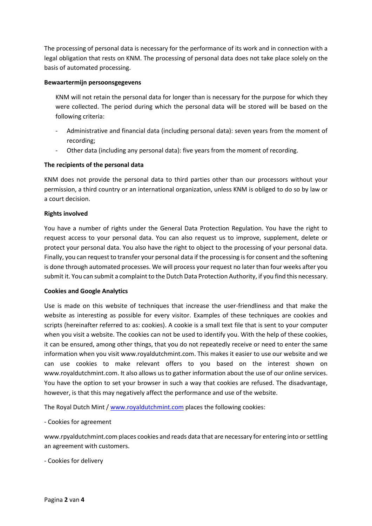The processing of personal data is necessary for the performance of its work and in connection with a legal obligation that rests on KNM. The processing of personal data does not take place solely on the basis of automated processing.

## **Bewaartermijn persoonsgegevens**

KNM will not retain the personal data for longer than is necessary for the purpose for which they were collected. The period during which the personal data will be stored will be based on the following criteria:

- Administrative and financial data (including personal data): seven years from the moment of recording;
- Other data (including any personal data): five years from the moment of recording.

# **The recipients of the personal data**

KNM does not provide the personal data to third parties other than our processors without your permission, a third country or an international organization, unless KNM is obliged to do so by law or a court decision.

## **Rights involved**

You have a number of rights under the General Data Protection Regulation. You have the right to request access to your personal data. You can also request us to improve, supplement, delete or protect your personal data. You also have the right to object to the processing of your personal data. Finally, you can request to transfer your personal data if the processing is for consent and the softening is done through automated processes. We will process your request no later than four weeks after you submit it. You can submit a complaint to the Dutch Data Protection Authority, if you find this necessary.

### **Cookies and Google Analytics**

Use is made on this website of techniques that increase the user-friendliness and that make the website as interesting as possible for every visitor. Examples of these techniques are cookies and scripts (hereinafter referred to as: cookies). A cookie is a small text file that is sent to your computer when you visit a website. The cookies can not be used to identify you. With the help of these cookies, it can be ensured, among other things, that you do not repeatedly receive or need to enter the same information when you visit www.royaldutchmint.com. This makes it easier to use our website and we can use cookies to make relevant offers to you based on the interest shown on www.royaldutchmint.com. It also allows us to gather information about the use of our online services. You have the option to set your browser in such a way that cookies are refused. The disadvantage, however, is that this may negatively affect the performance and use of the website.

The Royal Dutch Mint [/ www.royaldutchmint.com](http://www.royaldutchmint.com/) places the following cookies:

### - Cookies for agreement

www.rpyaldutchmint.com places cookies and reads data that are necessary for entering into or settling an agreement with customers.

- Cookies for delivery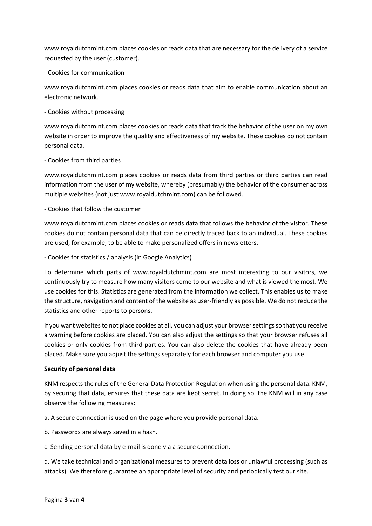www.royaldutchmint.com places cookies or reads data that are necessary for the delivery of a service requested by the user (customer).

- Cookies for communication

www.royaldutchmint.com places cookies or reads data that aim to enable communication about an electronic network.

- Cookies without processing

www.royaldutchmint.com places cookies or reads data that track the behavior of the user on my own website in order to improve the quality and effectiveness of my website. These cookies do not contain personal data.

## - Cookies from third parties

www.royaldutchmint.com places cookies or reads data from third parties or third parties can read information from the user of my website, whereby (presumably) the behavior of the consumer across multiple websites (not just www.royaldutchmint.com) can be followed.

## - Cookies that follow the customer

www.royaldutchmint.com places cookies or reads data that follows the behavior of the visitor. These cookies do not contain personal data that can be directly traced back to an individual. These cookies are used, for example, to be able to make personalized offers in newsletters.

- Cookies for statistics / analysis (in Google Analytics)

To determine which parts of www.royaldutchmint.com are most interesting to our visitors, we continuously try to measure how many visitors come to our website and what is viewed the most. We use cookies for this. Statistics are generated from the information we collect. This enables us to make the structure, navigation and content of the website as user-friendly as possible. We do not reduce the statistics and other reports to persons.

If you want websites to not place cookies at all, you can adjust your browser settings so that you receive a warning before cookies are placed. You can also adjust the settings so that your browser refuses all cookies or only cookies from third parties. You can also delete the cookies that have already been placed. Make sure you adjust the settings separately for each browser and computer you use.

### **Security of personal data**

KNM respects the rules of the General Data Protection Regulation when using the personal data. KNM, by securing that data, ensures that these data are kept secret. In doing so, the KNM will in any case observe the following measures:

a. A secure connection is used on the page where you provide personal data.

b. Passwords are always saved in a hash.

c. Sending personal data by e-mail is done via a secure connection.

d. We take technical and organizational measures to prevent data loss or unlawful processing (such as attacks). We therefore guarantee an appropriate level of security and periodically test our site.